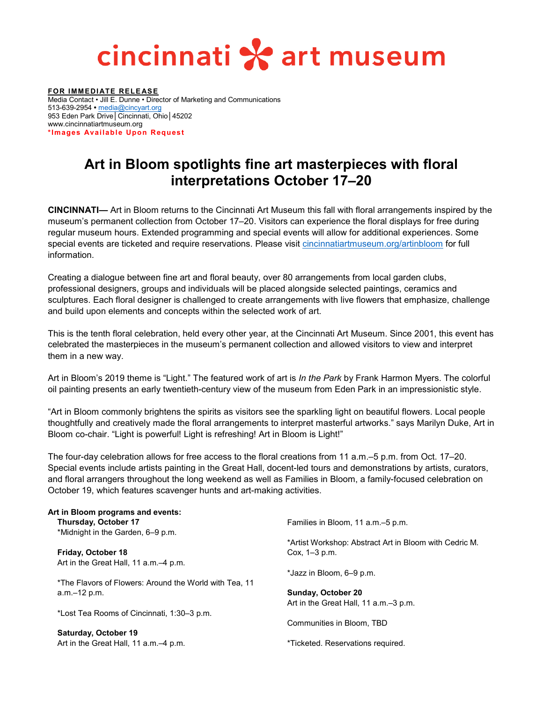# cincinnati \* art museum

**FOR IMMEDIATE RELEASE** Media Contact • Jill E. Dunne • Director of Marketing and Communications 513-639-2954 **•** [media@cincyart.org](mailto:media@cincyart.org) 953 Eden Park Drive│Cincinnati, Ohio│45202 www.cincinnatiartmuseum.org **\*Images Available Upon Request**

### **Art in Bloom spotlights fine art masterpieces with floral interpretations October 17–20**

**CINCINNATI—** Art in Bloom returns to the Cincinnati Art Museum this fall with floral arrangements inspired by the museum's permanent collection from October 17–20. Visitors can experience the floral displays for free during regular museum hours. Extended programming and special events will allow for additional experiences. Some special events are ticketed and require reservations. Please visit [cincinnatiartmuseum.org/artinbloom](https://www.cincinnatiartmuseum.org/artinbloom) for full information.

Creating a dialogue between fine art and floral beauty, over 80 arrangements from local garden clubs, professional designers, groups and individuals will be placed alongside selected paintings, ceramics and sculptures. Each floral designer is challenged to create arrangements with live flowers that emphasize, challenge and build upon elements and concepts within the selected work of art.

This is the tenth floral celebration, held every other year, at the Cincinnati Art Museum. Since 2001, this event has celebrated the masterpieces in the museum's permanent collection and allowed visitors to view and interpret them in a new way.

Art in Bloom's 2019 theme is "Light." The featured work of art is *In the Park* by Frank Harmon Myers. The colorful oil painting presents an early twentieth-century view of the museum from Eden Park in an impressionistic style.

"Art in Bloom commonly brightens the spirits as visitors see the sparkling light on beautiful flowers. Local people thoughtfully and creatively made the floral arrangements to interpret masterful artworks." says Marilyn Duke, Art in Bloom co-chair. "Light is powerful! Light is refreshing! Art in Bloom is Light!"

The four-day celebration allows for free access to the floral creations from 11 a.m.–5 p.m. from Oct. 17–20. Special events include artists painting in the Great Hall, docent-led tours and demonstrations by artists, curators, and floral arrangers throughout the long weekend as well as Families in Bloom, a family-focused celebration on October 19, which features scavenger hunts and art-making activities.

| Art in Bloom programs and events:                      |                                                        |
|--------------------------------------------------------|--------------------------------------------------------|
| Thursday, October 17                                   | Families in Bloom, 11 a.m.-5 p.m.                      |
| *Midnight in the Garden, 6-9 p.m.                      |                                                        |
|                                                        | *Artist Workshop: Abstract Art in Bloom with Cedric M. |
| <b>Friday, October 18</b>                              | Cox, 1-3 p.m.                                          |
| Art in the Great Hall, 11 a.m.–4 p.m.                  |                                                        |
|                                                        | *Jazz in Bloom, 6–9 p.m.                               |
| *The Flavors of Flowers: Around the World with Tea, 11 |                                                        |
| $a.m.-12 p.m.$                                         | <b>Sunday, October 20</b>                              |
|                                                        | Art in the Great Hall, 11 a.m.–3 p.m.                  |
| *Lost Tea Rooms of Cincinnati, 1:30–3 p.m.             |                                                        |
|                                                        | Communities in Bloom, TBD                              |
| Saturday, October 19                                   |                                                        |
| Art in the Great Hall, 11 a.m.–4 p.m.                  | *Ticketed. Reservations required.                      |